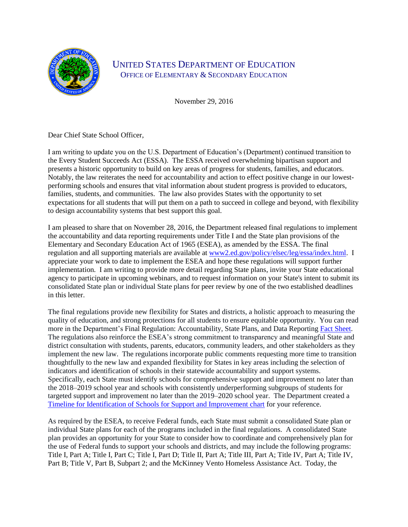

## UNITED STATES DEPARTMENT OF EDUCATION OFFICE OF ELEMENTARY & SECONDARY EDUCATION

November 29, 2016

Dear Chief State School Officer,

I am writing to update you on the U.S. Department of Education's (Department) continued transition to the Every Student Succeeds Act (ESSA). The ESSA received overwhelming bipartisan support and presents a historic opportunity to build on key areas of progress for students, families, and educators. Notably, the law reiterates the need for accountability and action to effect positive change in our lowestperforming schools and ensures that vital information about student progress is provided to educators, families, students, and communities. The law also provides States with the opportunity to set expectations for all students that will put them on a path to succeed in college and beyond, with flexibility to design accountability systems that best support this goal.

I am pleased to share that on November 28, 2016, the Department released final regulations to implement the accountability and data reporting requirements under Title I and the State plan provisions of the Elementary and Secondary Education Act of 1965 (ESEA), as amended by the ESSA. The final regulation and all supporting materials are available at [www2.ed.gov/policy/elsec/leg/essa/index.html.](file:///C:/Users/Patrick.Rooney/AppData/Local/Microsoft/Windows/Temporary%20Internet%20Files/Content.Outlook/W1UU9GFC/www2.ed.gov/policy/elsec/leg/essa/index.html) I appreciate your work to date to implement the ESEA and hope these regulations will support further implementation. I am writing to provide more detail regarding State plans, invite your State educational agency to participate in upcoming webinars, and to request information on your State's intent to submit its consolidated State plan or individual State plans for peer review by one of the two established deadlines in this letter.

The final regulations provide new flexibility for States and districts, a holistic approach to measuring the quality of education, and strong protections for all students to ensure equitable opportunity. You can read more in the Department's Final Regulation: Accountability, State Plans, and Data Reporting [Fact Sheet.](http://www2.ed.gov/policy/elsec/leg/essa/essafactsheet1127.pdf) The regulations also reinforce the ESEA's strong commitment to transparency and meaningful State and district consultation with students, parents, educators, community leaders, and other stakeholders as they implement the new law. The regulations incorporate public comments requesting more time to transition thoughtfully to the new law and expanded flexibility for States in key areas including the selection of indicators and identification of schools in their statewide accountability and support systems. Specifically, each State must identify schools for comprehensive support and improvement no later than the 2018–2019 school year and schools with consistently underperforming subgroups of students for targeted support and improvement no later than the 2019–2020 school year. The Department created a [Timeline for Identification of Schools for Support and Improvement chart](http://www2.ed.gov/policy/elsec/leg/essa/essacctchart1127.pdf) for your reference.

As required by the ESEA, to receive Federal funds, each State must submit a consolidated State plan or individual State plans for each of the programs included in the final regulations. A consolidated State plan provides an opportunity for your State to consider how to coordinate and comprehensively plan for the use of Federal funds to support your schools and districts, and may include the following programs: Title I, Part A; Title I, Part C; Title I, Part D; Title II, Part A; Title III, Part A; Title IV, Part A; Title IV, Part B; Title V, Part B, Subpart 2; and the McKinney Vento Homeless Assistance Act. Today, the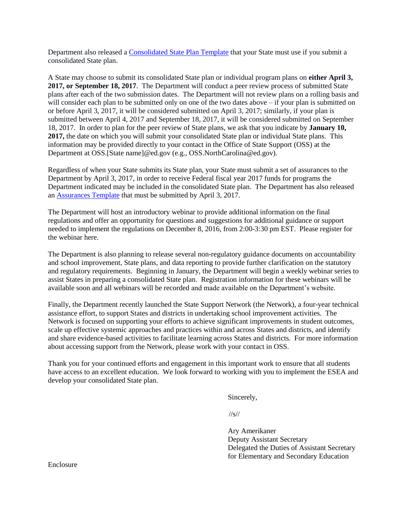Department also released a [Consolidated State Plan Template](http://www2.ed.gov/policy/elsec/leg/essa/essa-consolidated-state-plan-final.docx) that your State must use if you submit a consolidated State plan.

A State may choose to submit its consolidated State plan or individual program plans on **either April 3, 2017, or September 18, 2017**. The Department will conduct a peer review process of submitted State plans after each of the two submission dates. The Department will not review plans on a rolling basis and will consider each plan to be submitted only on one of the two dates above – if your plan is submitted on or before April 3, 2017, it will be considered submitted on April 3, 2017; similarly, if your plan is submitted between April 4, 2017 and September 18, 2017, it will be considered submitted on September 18, 2017. In order to plan for the peer review of State plans, we ask that you indicate by **January 10, 2017,** the date on which you will submit your consolidated State plan or individual State plans. This information may be provided directly to your contact in the Office of State Support (OSS) at the Department at OSS.[State name]@ed.gov (e.g., OSS.NorthCarolina@ed.gov).

Regardless of when your State submits its State plan, your State must submit a set of assurances to the Department by April 3, 2017, in order to receive Federal fiscal year 2017 funds for programs the Department indicated may be included in the consolidated State plan. The Department has also released an [Assurances](http://www2.ed.gov/policy/elsec/leg/essa/essa-state-plan-assurances-final.docx) Template that must be submitted by April 3, 2017.

The Department will host an introductory webinar to provide additional information on the final regulations and offer an opportunity for questions and suggestions for additional guidance or support needed to implement the regulations on December 8, 2016, from 2:00-3:30 pm EST. Please register for the webinar here.

The Department is also planning to release several non-regulatory guidance documents on accountability and school improvement, State plans, and data reporting to provide further clarification on the statutory and regulatory requirements. Beginning in January, the Department will begin a weekly webinar series to assist States in preparing a consolidated State plan. Registration information for these webinars will be available soon and all webinars will be recorded and made available on the Department's website.

Finally, the Department recently launched the State Support Network (the Network), a four-year technical assistance effort, to support States and districts in undertaking school improvement activities. The Network is focused on supporting your efforts to achieve significant improvements in student outcomes, scale up effective systemic approaches and practices within and across States and districts, and identify and share evidence-based activities to facilitate learning across States and districts. For more information about accessing support from the Network, please work with your contact in OSS.

Thank you for your continued efforts and engagement in this important work to ensure that all students have access to an excellent education. We look forward to working with you to implement the ESEA and develop your consolidated State plan.

Sincerely,

//s//

Ary Amerikaner Deputy Assistant Secretary Delegated the Duties of Assistant Secretary for Elementary and Secondary Education

Enclosure